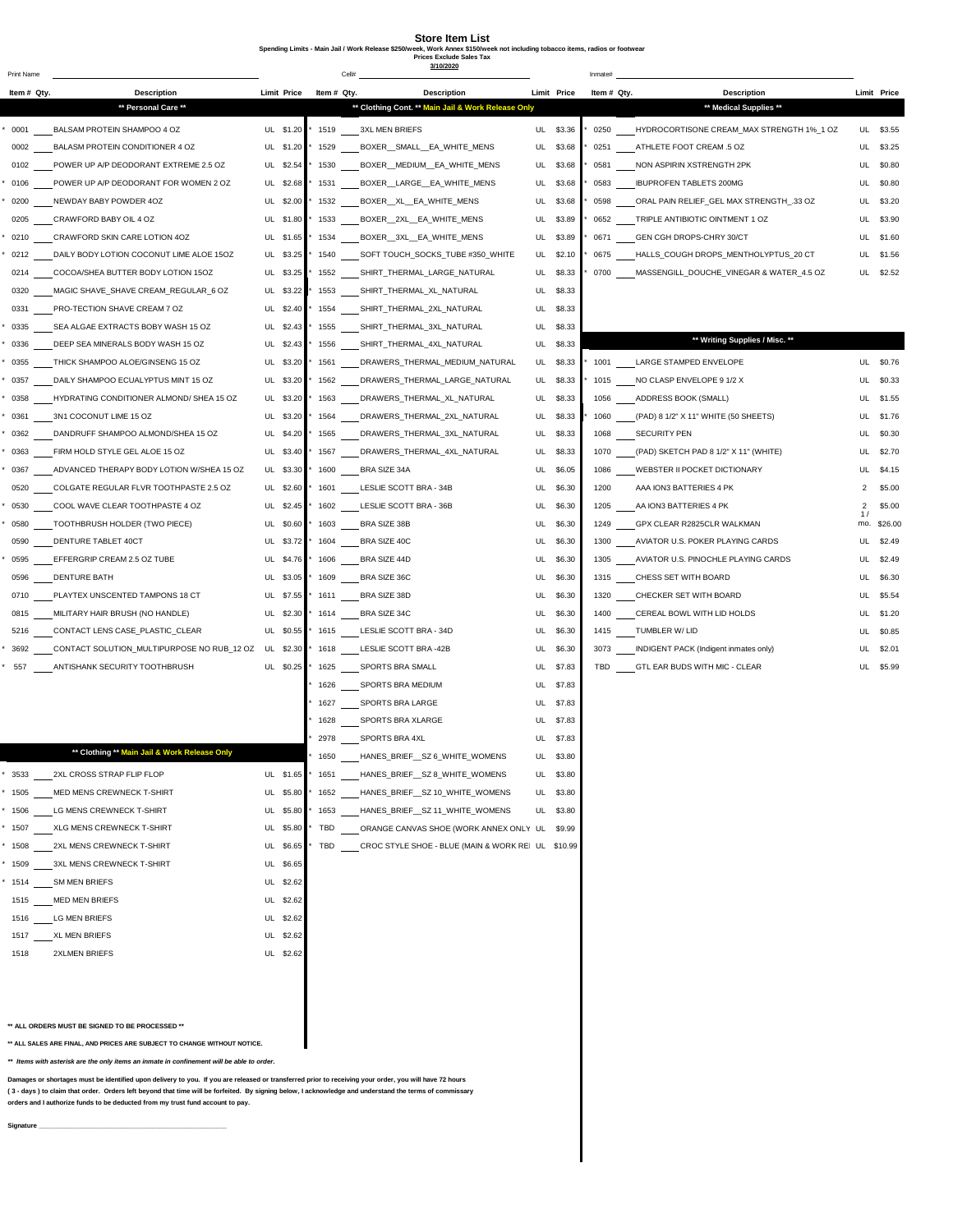## **Store Item List Spending Limits - Main Jail / Work Release \$250/week, Work Annex \$150/week not including tobacco items, radios or footwear Prices Exclude Sales Tax**

| Print Name                                                                                                                  |                                                                                           |                        | Cella       | 3/10/2020                                              |     |             | Inmate#     |                                               |           |             |
|-----------------------------------------------------------------------------------------------------------------------------|-------------------------------------------------------------------------------------------|------------------------|-------------|--------------------------------------------------------|-----|-------------|-------------|-----------------------------------------------|-----------|-------------|
| Item # Qty.                                                                                                                 | <b>Description</b>                                                                        | Limit Price            | Item # Qty. | <b>Description</b>                                     |     | Limit Price | Item # Qty. | <b>Description</b>                            |           | Limit Price |
|                                                                                                                             | ** Personal Care **                                                                       |                        |             | ** Clothing Cont. ** Main Jail & Work Release Only     |     |             |             | ** Medical Supplies **                        |           |             |
| 0001                                                                                                                        | BALSAM PROTEIN SHAMPOO 4 OZ                                                               | UL \$1.20              | 1519        | 3XL MEN BRIEFS                                         |     | UL \$3.36   | 0250        | HYDROCORTISONE CREAM_MAX STRENGTH 1%_1 OZ     |           | UL \$3.55   |
| 0002                                                                                                                        | BALASM PROTEIN CONDITIONER 4 OZ                                                           | UL \$1.20              | 1529        | BOXER_SMALL_EA_WHITE_MENS                              |     | UL \$3.68   |             | 0251 ATHLETE FOOT CREAM .5 OZ                 |           | UL \$3.25   |
|                                                                                                                             | 0102 POWER UP A/P DEODORANT EXTREME 2.5 OZ                                                | UL \$2.54              | 1530        | BOXER_MEDIUM_EA_WHITE_MENS                             | UL  | \$3.68      |             | 0581 NON ASPIRIN XSTRENGTH 2PK                | UL        | \$0.80      |
| 0106                                                                                                                        | POWER UP A/P DEODORANT FOR WOMEN 2 OZ                                                     | UL \$2.68              | 1531        | BOXER_LARGE_EA_WHITE_MENS                              | UL  | \$3.68      | 0583        | <b>IBUPROFEN TABLETS 200MG</b>                | UL        | \$0.80      |
| 0200                                                                                                                        | NEWDAY BABY POWDER 4OZ                                                                    | UL \$2.00              | 1532        | BOXER__XL__EA_WHITE_MENS                               | UL  | \$3.68      | 0598        | ORAL PAIN RELIEF_GEL MAX STRENGTH_.33 OZ      | UL        | \$3.20      |
| 0205                                                                                                                        | CRAWFORD BABY OIL 4 OZ                                                                    | UL \$1.80              | 1533        | BOXER_2XL_EA_WHITE_MENS                                | UL  | \$3.89      |             | 0652 TRIPLE ANTIBIOTIC OINTMENT 1 OZ          | UL        | \$3.90      |
| 0210                                                                                                                        | CRAWFORD SKIN CARE LOTION 4OZ                                                             | UL \$1.65              | 1534        | BOXER_3XL_EA_WHITE_MENS                                |     | UL \$3.89   | 0671        | GEN CGH DROPS-CHRY 30/CT                      | UL.       | \$1.60      |
| 0212                                                                                                                        | DAILY BODY LOTION COCONUT LIME ALOE 15OZ                                                  | UL \$3.25              | 1540        | SOFT TOUCH_SOCKS_TUBE #350_WHITE                       |     | UL \$2.10   | 0675        | HALLS_COUGH DROPS_MENTHOLYPTUS_20 CT          | UL        | \$1.56      |
| 0214                                                                                                                        | COCOA/SHEA BUTTER BODY LOTION 15OZ                                                        | UL \$3.25              | 1552        | SHIRT THERMAL LARGE NATURAL                            |     | UL \$8.33   |             | 0700 MASSENGILL_DOUCHE_VINEGAR & WATER_4.5 OZ |           | UL \$2.52   |
| 0320                                                                                                                        | MAGIC SHAVE_SHAVE CREAM_REGULAR_6 OZ                                                      | UL \$3.22              | 1553        | SHIRT_THERMAL_XL_NATURAL                               |     | UL \$8.33   |             |                                               |           |             |
| 0331                                                                                                                        | PRO-TECTION SHAVE CREAM 7 OZ                                                              | UL \$2.40              | 1554        | SHIRT_THERMAL_2XL_NATURAL                              |     | UL \$8.33   |             |                                               |           |             |
| 0335                                                                                                                        | SEA ALGAE EXTRACTS BOBY WASH 15 OZ                                                        | UL \$2.43              | 1555        | SHIRT_THERMAL_3XL_NATURAL                              |     | UL \$8.33   |             |                                               |           |             |
| 0336                                                                                                                        | DEEP SEA MINERALS BODY WASH 15 OZ                                                         | UL \$2.43              | 1556        | SHIRT_THERMAL_4XL_NATURAL                              |     | UL \$8.33   |             | ** Writing Supplies / Misc. **                |           |             |
|                                                                                                                             | 0355 THICK SHAMPOO ALOE/GINSENG 15 OZ                                                     | UL \$3.20              | 1561        | DRAWERS_THERMAL_MEDIUM_NATURAL                         |     | UL \$8.33   |             | 1001 LARGE STAMPED ENVELOPE                   |           | UL \$0.76   |
| 0357                                                                                                                        | DAILY SHAMPOO ECUALYPTUS MINT 15 OZ                                                       | UL \$3.20              | 1562        | DRAWERS_THERMAL_LARGE_NATURAL                          | UL  | \$8.33      |             | 1015 NO CLASP ENVELOPE 9 1/2 X                | UL        | \$0.33      |
| 0358                                                                                                                        | HYDRATING CONDITIONER ALMOND/ SHEA 15 OZ                                                  | UL \$3.20              | 1563        | DRAWERS_THERMAL_XL_NATURAL                             | UL  | \$8.33      |             | 1056 ADDRESS BOOK (SMALL)                     | UL        | \$1.55      |
| 0361                                                                                                                        | 3N1 COCONUT LIME 15 OZ                                                                    | UL \$3.20              | 1564        | DRAWERS_THERMAL_2XL_NATURAL                            | UL  | \$8.33      | 1060        | (PAD) 8 1/2" X 11" WHITE (50 SHEETS)          | UL        | \$1.76      |
| 0362                                                                                                                        | DANDRUFF SHAMPOO ALMOND/SHEA 15 OZ                                                        | UL \$4.20              | 1565        | DRAWERS_THERMAL_3XL_NATURAL                            | UL  | \$8.33      | 1068        | <b>SECURITY PEN</b>                           | UL        | \$0.30      |
| 0363                                                                                                                        | FIRM HOLD STYLE GEL ALOE 15 OZ                                                            | UL \$3.40              | 1567        | DRAWERS_THERMAL_4XL_NATURAL                            | UL  | \$8.33      | 1070        | (PAD) SKETCH PAD 8 1/2" X 11" (WHITE)         | UL        | \$2.70      |
| 0367                                                                                                                        | ADVANCED THERAPY BODY LOTION W/SHEA 15 OZ                                                 | UL \$3.30              | 1600        | BRA SIZE 34A                                           | UL  | \$6.05      | 1086        | WEBSTER II POCKET DICTIONARY                  | UL        | \$4.15      |
| 0520                                                                                                                        | COLGATE REGULAR FLVR TOOTHPASTE 2.5 OZ                                                    | UL \$2.60              | 1601        | LESLIE SCOTT BRA - 34B                                 | UL  | \$6.30      | 1200        | AAA ION3 BATTERIES 4 PK                       | 2         | \$5.00      |
| 0530                                                                                                                        | COOL WAVE CLEAR TOOTHPASTE 4 OZ                                                           | UL \$2.45              | 1602        | LESLIE SCOTT BRA - 36B                                 | UL  | \$6.30      | 1205        | AA ION3 BATTERIES 4 PK                        | 2         | \$5.00      |
| 0580                                                                                                                        | TOOTHBRUSH HOLDER (TWO PIECE)                                                             | UL \$0.60              | 1603        | BRA SIZE 38B                                           | UL  | \$6.30      | 1249        | GPX CLEAR R2825CLR WALKMAN                    | 1/<br>mo. | \$26.00     |
| 0590                                                                                                                        | DENTURE TABLET 40CT                                                                       | UL \$3.72              | 1604        | BRA SIZE 40C                                           | UL. | \$6.30      | 1300        | AVIATOR U.S. POKER PLAYING CARDS              | UL        | \$2.49      |
| 0595                                                                                                                        | EFFERGRIP CREAM 2.5 OZ TUBE                                                               | UL \$4.76              | 1606        | BRA SIZE 44D                                           | UL  | \$6.30      |             | 1305 AVIATOR U.S. PINOCHLE PLAYING CARDS      | UL        | \$2.49      |
| 0596                                                                                                                        | <b>DENTURE BATH</b>                                                                       | UL \$3.05              | 1609        | BRA SIZE 36C                                           | UL  | \$6.30      | 1315        | CHESS SET WITH BOARD                          | UL        | \$6.30      |
| 0710                                                                                                                        | PLAYTEX UNSCENTED TAMPONS 18 CT                                                           | UL \$7.55              | 1611        | BRA SIZE 38D                                           | UL  | \$6.30      | 1320        | CHECKER SET WITH BOARD                        | UL        | \$5.54      |
|                                                                                                                             | 0815 MILITARY HAIR BRUSH (NO HANDLE)                                                      | UL \$2.30              | 1614        | BRA SIZE 34C                                           | UL  | \$6.30      | 1400        | CEREAL BOWL WITH LID HOLDS                    | UL        | \$1.20      |
| 5216                                                                                                                        | CONTACT LENS CASE_PLASTIC_CLEAR                                                           | UL \$0.55              | 1615        | LESLIE SCOTT BRA - 34D                                 | UL  | \$6.30      |             | 1415 TUMBLER W/LID                            | UL        | \$0.85      |
| 3692                                                                                                                        | CONTACT SOLUTION_MULTIPURPOSE NO RUB_12 OZ                                                | UL \$2.30              | 1618        | LESLIE SCOTT BRA -42B                                  | UL  | \$6.30      |             | 3073 INDIGENT PACK (Indigent inmates only)    | UL        | \$2.01      |
| 557                                                                                                                         | ANTISHANK SECURITY TOOTHBRUSH                                                             | UL \$0.25              | 1625        | SPORTS BRA SMALL                                       |     | UL \$7.83   |             | TBD GTL EAR BUDS WITH MIC - CLEAR             | UL        | \$5.99      |
|                                                                                                                             |                                                                                           |                        | 1626        | SPORTS BRA MEDIUM                                      |     | UL \$7.83   |             |                                               |           |             |
|                                                                                                                             |                                                                                           |                        | 1627        | SPORTS BRA LARGE                                       |     | UL \$7.83   |             |                                               |           |             |
|                                                                                                                             |                                                                                           |                        | 1628        | SPORTS BRA XLARGE                                      |     | UL \$7.83   |             |                                               |           |             |
|                                                                                                                             |                                                                                           |                        | 2978        | SPORTS BRA 4XL                                         |     | UL \$7.83   |             |                                               |           |             |
|                                                                                                                             | ** Clothing ** Main Jail & Work Release Only                                              |                        | 1650        | HANES_BRIEF_SZ 6_WHITE_WOMENS                          |     | UL \$3.80   |             |                                               |           |             |
|                                                                                                                             | 3533 2XL CROSS STRAP FLIP FLOP                                                            | UL \$1.65              |             | 1651 HANES_BRIEF_SZ 8_WHITE_WOMENS                     |     | UL \$3.80   |             |                                               |           |             |
|                                                                                                                             | 1505 MED MENS CREWNECK T-SHIRT                                                            | UL \$5.80              |             | 1652 HANES_BRIEF_SZ 10_WHITE_WOMENS                    |     | UL \$3.80   |             |                                               |           |             |
|                                                                                                                             | 1506 LG MENS CREWNECK T-SHIRT                                                             | UL \$5.80              |             | 1653 ____ HANES_BRIEF__SZ 11_WHITE_WOMENS              |     | UL \$3.80   |             |                                               |           |             |
|                                                                                                                             | 1507 XLG MENS CREWNECK T-SHIRT                                                            | UL \$5.80              |             | TBD ORANGE CANVAS SHOE (WORK ANNEX ONLY UL \$9.99      |     |             |             |                                               |           |             |
|                                                                                                                             | 1508 2XL MENS CREWNECK T-SHIRT                                                            | UL \$6.65              |             | TBD CROC STYLE SHOE - BLUE (MAIN & WORK REI UL \$10.99 |     |             |             |                                               |           |             |
|                                                                                                                             | 1509 3XL MENS CREWNECK T-SHIRT                                                            | UL \$6.65              |             |                                                        |     |             |             |                                               |           |             |
|                                                                                                                             | 1514 _____ SM MEN BRIEFS                                                                  | UL \$2.62              |             |                                                        |     |             |             |                                               |           |             |
|                                                                                                                             | 1515 MED MEN BRIEFS                                                                       | UL \$2.62              |             |                                                        |     |             |             |                                               |           |             |
|                                                                                                                             |                                                                                           |                        |             |                                                        |     |             |             |                                               |           |             |
|                                                                                                                             | 1516 LG MEN BRIEFS<br>1517 XL MEN BRIEFS                                                  | UL \$2.62<br>UL \$2.62 |             |                                                        |     |             |             |                                               |           |             |
| 1518                                                                                                                        | 2XLMEN BRIEFS                                                                             | UL \$2.62              |             |                                                        |     |             |             |                                               |           |             |
|                                                                                                                             |                                                                                           |                        |             |                                                        |     |             |             |                                               |           |             |
|                                                                                                                             |                                                                                           |                        |             |                                                        |     |             |             |                                               |           |             |
|                                                                                                                             |                                                                                           |                        |             |                                                        |     |             |             |                                               |           |             |
|                                                                                                                             |                                                                                           |                        |             |                                                        |     |             |             |                                               |           |             |
| ** ALL ORDERS MUST BE SIGNED TO BE PROCESSED **<br>** ALL SALES ARE FINAL, AND PRICES ARE SUBJECT TO CHANGE WITHOUT NOTICE. |                                                                                           |                        |             |                                                        |     |             |             |                                               |           |             |
|                                                                                                                             | ** Items with asterisk are the only items an inmate in confinement will be able to order. |                        |             |                                                        |     |             |             |                                               |           |             |
|                                                                                                                             |                                                                                           |                        |             |                                                        |     |             |             |                                               |           |             |

Damages or shortages must be identified upon delivery to you. If you are released or transferred prior to receiving your order, you will have 72 hours<br>( 3 - days ) to claim that order. Orders left beyond that time will be

 $Signature$